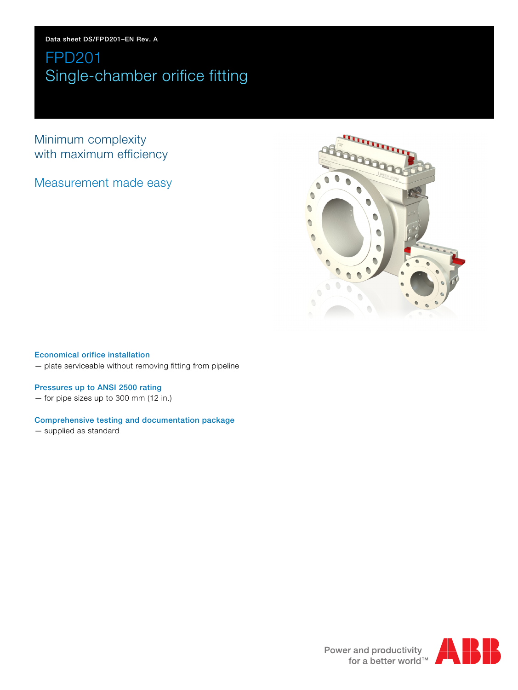# FPD201 Single-chamber orifice fitting

Minimum complexity with maximum efficiency

Measurement made easy



## Economical orifice installation

— plate serviceable without removing fitting from pipeline

## Pressures up to ANSI 2500 rating

— for pipe sizes up to 300 mm (12 in.)

## Comprehensive testing and documentation package

— supplied as standard

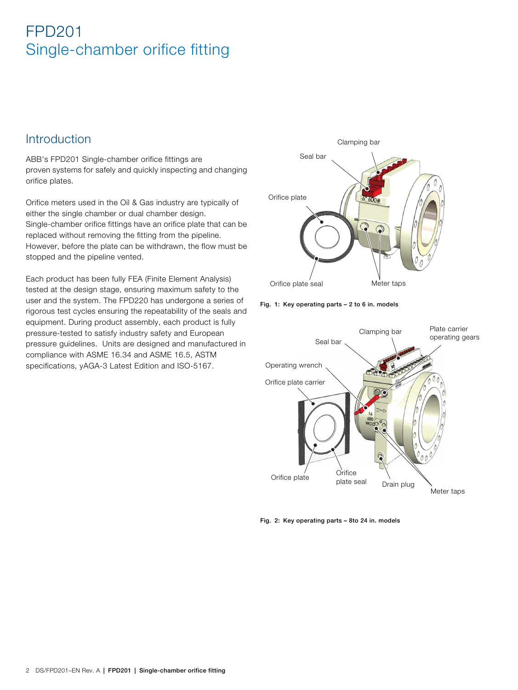# FPD201 Single-chamber orifice fitting

## **Introduction**

ABB's FPD201 Single-chamber orifice fittings are proven systems for safely and quickly inspecting and changing orifice plates.

Orifice meters used in the Oil & Gas industry are typically of either the single chamber or dual chamber design. Single-chamber orifice fittings have an orifice plate that can be replaced without removing the fitting from the pipeline. However, before the plate can be withdrawn, the flow must be stopped and the pipeline vented.

Each product has been fully FEA (Finite Element Analysis) tested at the design stage, ensuring maximum safety to the user and the system. The FPD220 has undergone a series of rigorous test cycles ensuring the repeatability of the seals and equipment. During product assembly, each product is fully pressure-tested to satisfy industry safety and European pressure guidelines. Units are designed and manufactured in compliance with ASME 16.34 and ASME 16.5, ASTM specifications, yAGA-3 Latest Edition and ISO-5167.



Fig. 1: Key operating parts – 2 to 6 in. models



Fig. 2: Key operating parts – 8to 24 in. models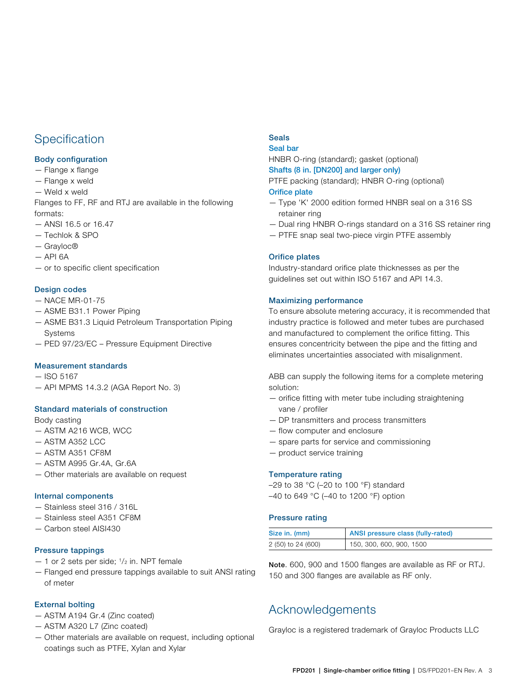## **Specification**

## Body configuration

- Flange x flange
- Flange x weld
- Weld x weld

Flanges to FF, RF and RTJ are available in the following formats:

- ANSI 16.5 or 16.47
- Techlok & SPO
- Grayloc®
- $-$  API 6A
- or to specific client specification

## Design codes

- NACE MR-01-75
- ASME B31.1 Power Piping
- ASME B31.3 Liquid Petroleum Transportation Piping Systems
- PED 97/23/EC Pressure Equipment Directive

### Measurement standards

- ISO 5167
- API MPMS 14.3.2 (AGA Report No. 3)

## Standard materials of construction

### Body casting

- ASTM A216 WCB, WCC
- ASTM A352 LCC
- ASTM A351 CF8M
- ASTM A995 Gr.4A, Gr.6A
- Other materials are available on request

### Internal components

- Stainless steel 316 / 316L
- Stainless steel A351 CF8M
- Carbon steel AISI430

### Pressure tappings

- $-$  1 or 2 sets per side;  $\frac{1}{2}$  in. NPT female
- Flanged end pressure tappings available to suit ANSI rating of meter

## External bolting

- ASTM A194 Gr.4 (Zinc coated)
- ASTM A320 L7 (Zinc coated)
- Other materials are available on request, including optional coatings such as PTFE, Xylan and Xylar

## Seals

## Seal bar

HNBR O-ring (standard); gasket (optional)

### Shafts (8 in. [DN200] and larger only) PTFE packing (standard); HNBR O-ring (optional)

## Orifice plate

- Type 'K' 2000 edition formed HNBR seal on a 316 SS retainer ring
- Dual ring HNBR O-rings standard on a 316 SS retainer ring
- PTFE snap seal two-piece virgin PTFE assembly

## Orifice plates

Industry-standard orifice plate thicknesses as per the guidelines set out within ISO 5167 and API 14.3.

## Maximizing performance

To ensure absolute metering accuracy, it is recommended that industry practice is followed and meter tubes are purchased and manufactured to complement the orifice fitting. This ensures concentricity between the pipe and the fitting and eliminates uncertainties associated with misalignment.

ABB can supply the following items for a complete metering solution:

- orifice fitting with meter tube including straightening vane / profiler
- DP transmitters and process transmitters
- flow computer and enclosure
- spare parts for service and commissioning
- product service training

### Temperature rating

–29 to 38 °C (–20 to 100 °F) standard –40 to 649 °C (–40 to 1200 °F) option

### Pressure rating

| Size in. (mm)      | ANSI pressure class (fully-rated) |
|--------------------|-----------------------------------|
| 2 (50) to 24 (600) | 150, 300, 600, 900, 1500          |

Note. 600, 900 and 1500 flanges are available as RF or RTJ. 150 and 300 flanges are available as RF only.

## Acknowledgements

Grayloc is a registered trademark of Grayloc Products LLC